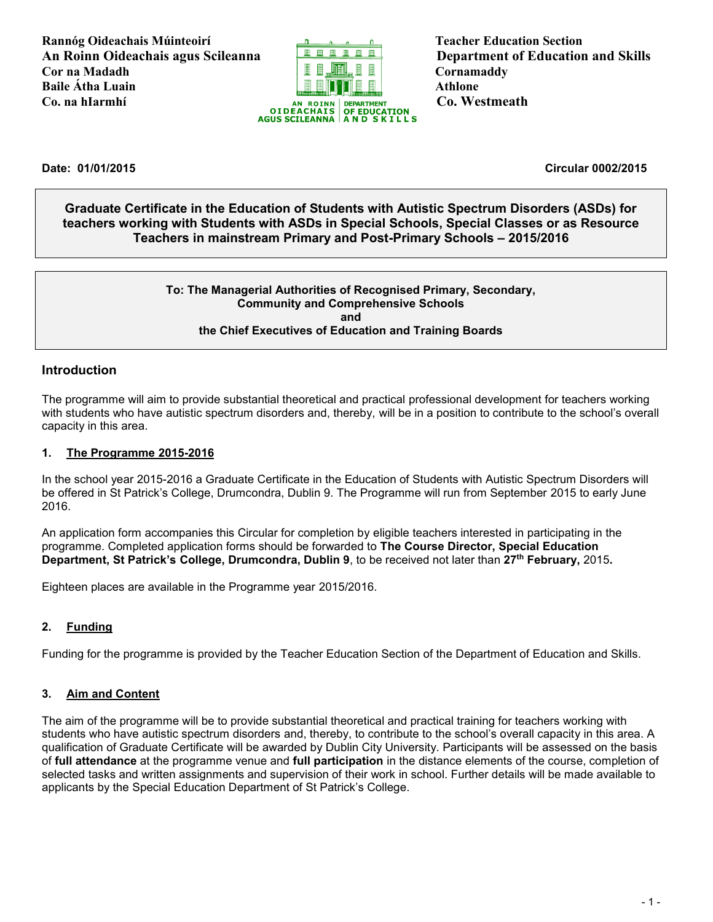**Rannóg Oideachais Múinteoirí** Teacher Education Section **An Roinn Oideachais agus Scileanna Department of Education and Skills Cor na Madadh Cornamaddy Baile Átha Luain Athlone** 



**Date: 01/01/2015 Circular 0002/2015**

**Graduate Certificate in the Education of Students with Autistic Spectrum Disorders (ASDs) for teachers working with Students with ASDs in Special Schools, Special Classes or as Resource Teachers in mainstream Primary and Post-Primary Schools – 2015/2016**

### **To: The Managerial Authorities of Recognised Primary, Secondary, Community and Comprehensive Schools and the Chief Executives of Education and Training Boards**

## **Introduction**

The programme will aim to provide substantial theoretical and practical professional development for teachers working with students who have autistic spectrum disorders and, thereby, will be in a position to contribute to the school's overall capacity in this area.

### **1. The Programme 2015-2016**

In the school year 2015-2016 a Graduate Certificate in the Education of Students with Autistic Spectrum Disorders will be offered in St Patrick's College, Drumcondra, Dublin 9. The Programme will run from September 2015 to early June 2016.

An application form accompanies this Circular for completion by eligible teachers interested in participating in the programme. Completed application forms should be forwarded to **The Course Director, Special Education Department, St Patrick's College, Drumcondra, Dublin 9**, to be received not later than **27th February,** 2015**.**

Eighteen places are available in the Programme year 2015/2016.

### **2. Funding**

Funding for the programme is provided by the Teacher Education Section of the Department of Education and Skills.

### **3. Aim and Content**

The aim of the programme will be to provide substantial theoretical and practical training for teachers working with students who have autistic spectrum disorders and, thereby, to contribute to the school's overall capacity in this area. A qualification of Graduate Certificate will be awarded by Dublin City University. Participants will be assessed on the basis of **full attendance** at the programme venue and **full participation** in the distance elements of the course, completion of selected tasks and written assignments and supervision of their work in school. Further details will be made available to applicants by the Special Education Department of St Patrick's College.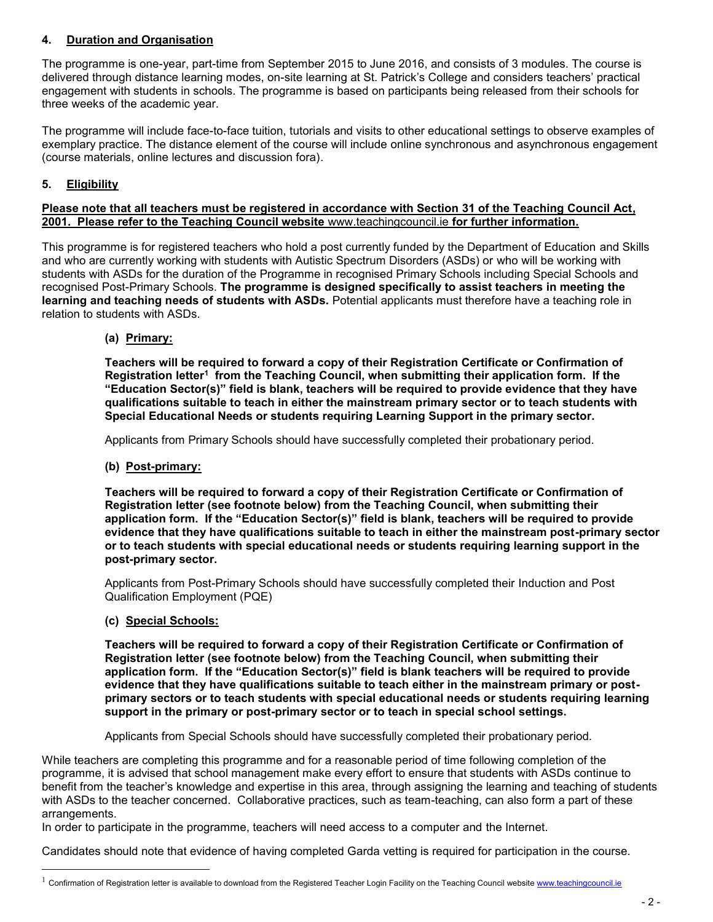## **4. Duration and Organisation**

The programme is one-year, part-time from September 2015 to June 2016, and consists of 3 modules. The course is delivered through distance learning modes, on-site learning at St. Patrick's College and considers teachers' practical engagement with students in schools. The programme is based on participants being released from their schools for three weeks of the academic year.

The programme will include face-to-face tuition, tutorials and visits to other educational settings to observe examples of exemplary practice. The distance element of the course will include online synchronous and asynchronous engagement (course materials, online lectures and discussion fora).

## **5. Eligibility**

### **Please note that all teachers must be registered in accordance with Section 31 of the Teaching Council Act, 2001. Please refer to the Teaching Council website** [www.teachingcouncil.ie](http://www.teachingcouncil.ie/) **for further information.**

This programme is for registered teachers who hold a post currently funded by the Department of Education and Skills and who are currently working with students with Autistic Spectrum Disorders (ASDs) or who will be working with students with ASDs for the duration of the Programme in recognised Primary Schools including Special Schools and recognised Post-Primary Schools. **The programme is designed specifically to assist teachers in meeting the learning and teaching needs of students with ASDs.** Potential applicants must therefore have a teaching role in relation to students with ASDs.

**(a) Primary:** 

**Teachers will be required to forward a copy of their Registration Certificate or Confirmation of Registration letter<sup>1</sup> from the Teaching Council, when submitting their application form. If the "Education Sector(s)" field is blank, teachers will be required to provide evidence that they have qualifications suitable to teach in either the mainstream primary sector or to teach students with Special Educational Needs or students requiring Learning Support in the primary sector.**

Applicants from Primary Schools should have successfully completed their probationary period.

**(b) Post-primary:**

**Teachers will be required to forward a copy of their Registration Certificate or Confirmation of Registration letter (see footnote below) from the Teaching Council, when submitting their application form. If the "Education Sector(s)" field is blank, teachers will be required to provide evidence that they have qualifications suitable to teach in either the mainstream post-primary sector or to teach students with special educational needs or students requiring learning support in the post-primary sector.**

Applicants from Post-Primary Schools should have successfully completed their Induction and Post Qualification Employment (PQE)

**(c) Special Schools:**

a<br>B

**Teachers will be required to forward a copy of their Registration Certificate or Confirmation of Registration letter (see footnote below) from the Teaching Council, when submitting their application form. If the "Education Sector(s)" field is blank teachers will be required to provide evidence that they have qualifications suitable to teach either in the mainstream primary or postprimary sectors or to teach students with special educational needs or students requiring learning support in the primary or post-primary sector or to teach in special school settings.**

Applicants from Special Schools should have successfully completed their probationary period.

While teachers are completing this programme and for a reasonable period of time following completion of the programme, it is advised that school management make every effort to ensure that students with ASDs continue to benefit from the teacher's knowledge and expertise in this area, through assigning the learning and teaching of students with ASDs to the teacher concerned. Collaborative practices, such as team-teaching, can also form a part of these arrangements.

In order to participate in the programme, teachers will need access to a computer and the Internet.

Candidates should note that evidence of having completed Garda vetting is required for participation in the course.

Confirmation of Registration letter is available to download from the Registered Teacher Login Facility on the Teaching Council websit[e www.teachingcouncil.ie](http://www.teachingcouncil.ie/)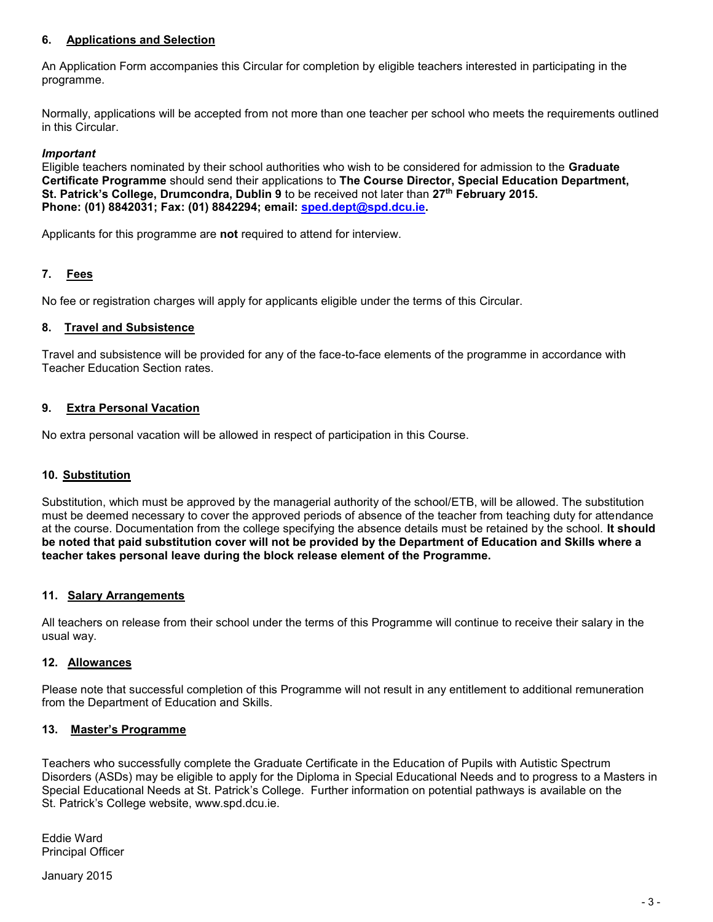### **6. Applications and Selection**

An Application Form accompanies this Circular for completion by eligible teachers interested in participating in the programme.

Normally, applications will be accepted from not more than one teacher per school who meets the requirements outlined in this Circular.

### *Important*

Eligible teachers nominated by their school authorities who wish to be considered for admission to the **Graduate Certificate Programme** should send their applications to **The Course Director, Special Education Department, St. Patrick's College, Drumcondra, Dublin 9** to be received not later than **27th February 2015. Phone: (01) 8842031; Fax: (01) 8842294; email: [sped.dept@spd.dcu.ie.](mailto:sped.dept@spd.dcu.ie)**

Applicants for this programme are **not** required to attend for interview.

### **7. Fees**

No fee or registration charges will apply for applicants eligible under the terms of this Circular.

### **8. Travel and Subsistence**

Travel and subsistence will be provided for any of the face-to-face elements of the programme in accordance with Teacher Education Section rates.

### **9. Extra Personal Vacation**

No extra personal vacation will be allowed in respect of participation in this Course.

### **10. Substitution**

Substitution, which must be approved by the managerial authority of the school/ETB, will be allowed. The substitution must be deemed necessary to cover the approved periods of absence of the teacher from teaching duty for attendance at the course. Documentation from the college specifying the absence details must be retained by the school. **It should be noted that paid substitution cover will not be provided by the Department of Education and Skills where a teacher takes personal leave during the block release element of the Programme.**

### **11. Salary Arrangements**

All teachers on release from their school under the terms of this Programme will continue to receive their salary in the usual way.

### **12. Allowances**

Please note that successful completion of this Programme will not result in any entitlement to additional remuneration from the Department of Education and Skills.

### **13. Master's Programme**

Teachers who successfully complete the Graduate Certificate in the Education of Pupils with Autistic Spectrum Disorders (ASDs) may be eligible to apply for the Diploma in Special Educational Needs and to progress to a Masters in Special Educational Needs at St. Patrick's College. Further information on potential pathways is available on the St. Patrick's College website, www.spd.dcu.ie.

Eddie Ward Principal Officer

January 2015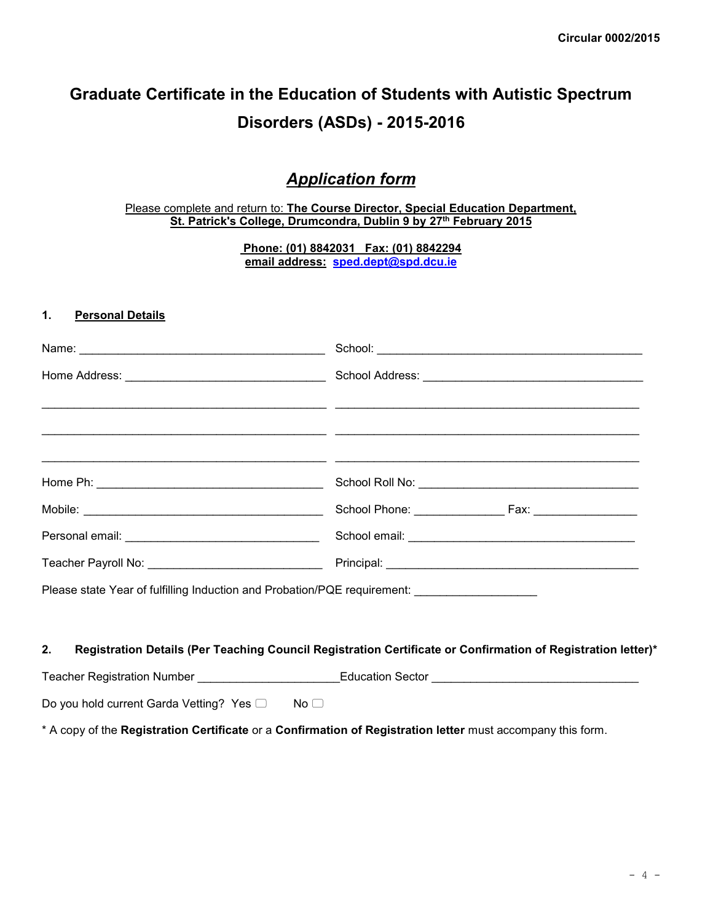# **Graduate Certificate in the Education of Students with Autistic Spectrum Disorders (ASDs) - 2015-2016**

# *Application form*

### Please complete and return to: **The Course Director, Special Education Department, St. Patrick's College, Drumcondra, Dublin 9 by 27th February 2015**

**Phone: (01) 8842031 Fax: (01) 8842294 email address: [sped.dept@spd.dcu.ie](mailto:sped.dept@spd.dcu.ie)**

### **1. Personal Details**

|                                                                                              | School: <u>Alexander Alexander Alexander Alexander Alexander Alexander Alexander Alexander Alexander Alexander Alexander Alexander Alexander Alexander Alexander Alexander Alexander Alexander Alexander Alexander Alexander Ale</u> |
|----------------------------------------------------------------------------------------------|--------------------------------------------------------------------------------------------------------------------------------------------------------------------------------------------------------------------------------------|
|                                                                                              |                                                                                                                                                                                                                                      |
|                                                                                              |                                                                                                                                                                                                                                      |
|                                                                                              |                                                                                                                                                                                                                                      |
|                                                                                              |                                                                                                                                                                                                                                      |
|                                                                                              |                                                                                                                                                                                                                                      |
|                                                                                              |                                                                                                                                                                                                                                      |
| Please state Year of fulfilling Induction and Probation/PQE requirement: ___________________ |                                                                                                                                                                                                                                      |
|                                                                                              |                                                                                                                                                                                                                                      |
| 2.                                                                                           | Registration Details (Per Teaching Council Registration Certificate or Confirmation of Registration letter)*                                                                                                                         |
|                                                                                              | Teacher Registration Number _________________________Education Sector ______________________________                                                                                                                                 |
| Do you hold current Garda Vetting? Yes □ No □                                                |                                                                                                                                                                                                                                      |

\* A copy of the **Registration Certificate** or a **Confirmation of Registration letter** must accompany this form.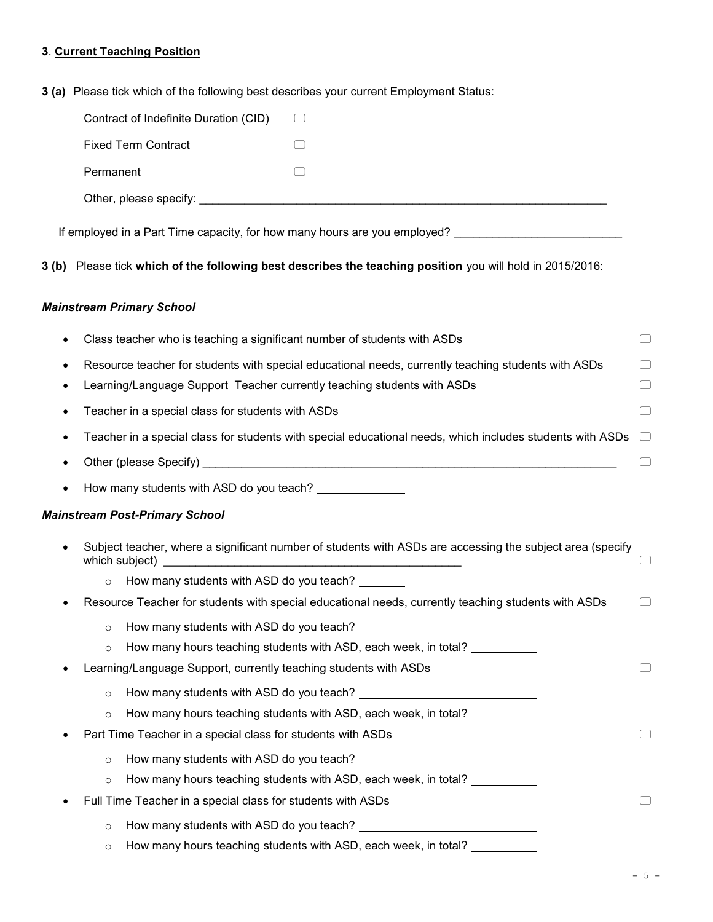# **3**. **Current Teaching Position**

|  | <b>3 (a)</b> Please tick which of the following best describes your current Employment Status: |  |  |
|--|------------------------------------------------------------------------------------------------|--|--|

| Contract of Indefinite Duration (CID)                                                                     |           |
|-----------------------------------------------------------------------------------------------------------|-----------|
| <b>Fixed Term Contract</b>                                                                                |           |
| Permanent                                                                                                 |           |
|                                                                                                           |           |
|                                                                                                           |           |
| If employed in a Part Time capacity, for how many hours are you employed?                                 |           |
| 3 (b) Please tick which of the following best describes the teaching position you will hold in 2015/2016: |           |
| <b>Mainstream Primary School</b>                                                                          |           |
| Class teacher who is teaching a significant number of students with ASDs                                  |           |
| Resource teacher for students with special educational needs, currently teaching students with ASDs       | $\Box$    |
| Learning/Language Support Teacher currently teaching students with ASDs                                   | $(\quad)$ |
| Teacher in a special class for students with ASDs                                                         | $\Box$    |
| Teacher in a special class for students with special educational needs, which includes students with ASDs |           |
|                                                                                                           |           |
| How many students with ASD do you teach? _______________                                                  |           |
| <b>Mainstream Post-Primary School</b>                                                                     |           |
| Subject teacher, where a significant number of students with ASDs are accessing the subject area (specify |           |
| How many students with ASD do you teach?<br>$\circ$                                                       |           |
| Resource Teacher for students with special educational needs, currently teaching students with ASDs       |           |
| o How many students with ASD do you teach?                                                                |           |
| How many hours teaching students with ASD, each week, in total?<br>$\circ$                                |           |
| Learning/Language Support, currently teaching students with ASDs                                          |           |
| $\circ$                                                                                                   |           |
| How many hours teaching students with ASD, each week, in total?<br>$\circ$                                |           |
| Part Time Teacher in a special class for students with ASDs                                               |           |
| $\circ$                                                                                                   |           |
| How many hours teaching students with ASD, each week, in total? __________<br>$\circ$                     |           |
| Full Time Teacher in a special class for students with ASDs                                               |           |
| $\circ$                                                                                                   |           |
| How many hours teaching students with ASD, each week, in total?<br>$\circ$                                |           |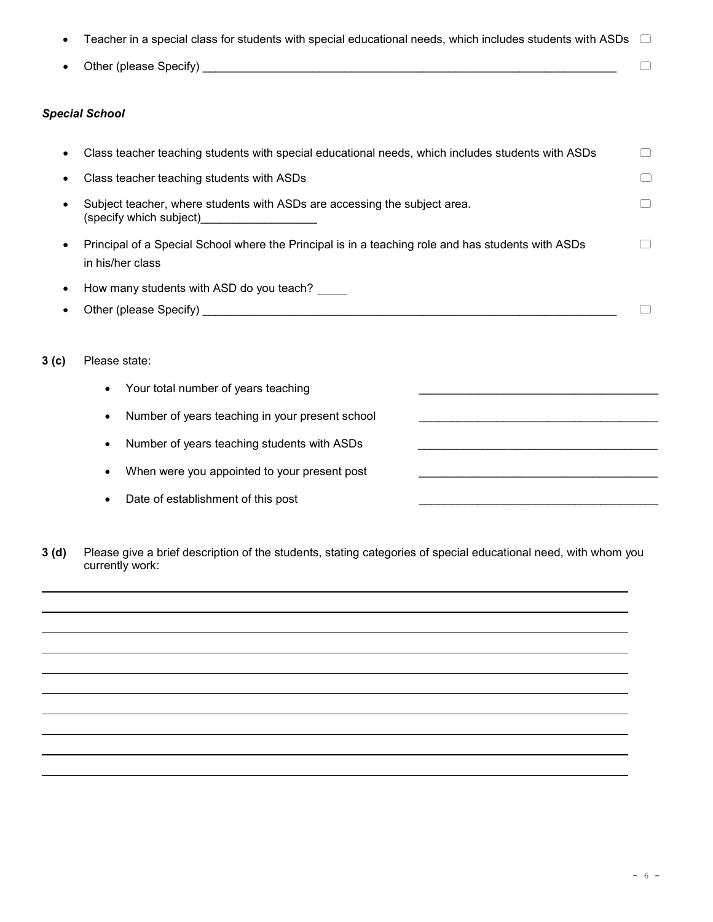|                  | Teacher in a special class for students with special educational needs, which includes students with ASDs                                                                                                                            |  |
|------------------|--------------------------------------------------------------------------------------------------------------------------------------------------------------------------------------------------------------------------------------|--|
|                  | Other (please Specify) <b>Container and Container and Container and Container and Container and Container and Container and Container and Container and Container and Container and Container and Container and Container and Co</b> |  |
|                  | <b>Special School</b>                                                                                                                                                                                                                |  |
|                  | Class teacher teaching students with special educational needs, which includes students with ASDs                                                                                                                                    |  |
|                  | Class teacher teaching students with ASDs                                                                                                                                                                                            |  |
|                  | Subject teacher, where students with ASDs are accessing the subject area.<br>(specify which subject) (specify which subject)                                                                                                         |  |
|                  | Principal of a Special School where the Principal is in a teaching role and has students with ASDs<br>in his/her class                                                                                                               |  |
| $\bullet$        | How many students with ASD do you teach?                                                                                                                                                                                             |  |
|                  |                                                                                                                                                                                                                                      |  |
| 3 <sub>(c)</sub> | Please state:                                                                                                                                                                                                                        |  |
|                  | Your total number of years teaching                                                                                                                                                                                                  |  |
|                  | Number of years teaching in your present school<br>$\bullet$                                                                                                                                                                         |  |
|                  | Number of years teaching students with ASDs                                                                                                                                                                                          |  |
|                  | When were you appointed to your present post                                                                                                                                                                                         |  |
|                  | Date of establishment of this post                                                                                                                                                                                                   |  |

**3 (d)** Please give a brief description of the students, stating categories of special educational need, with whom you currently work: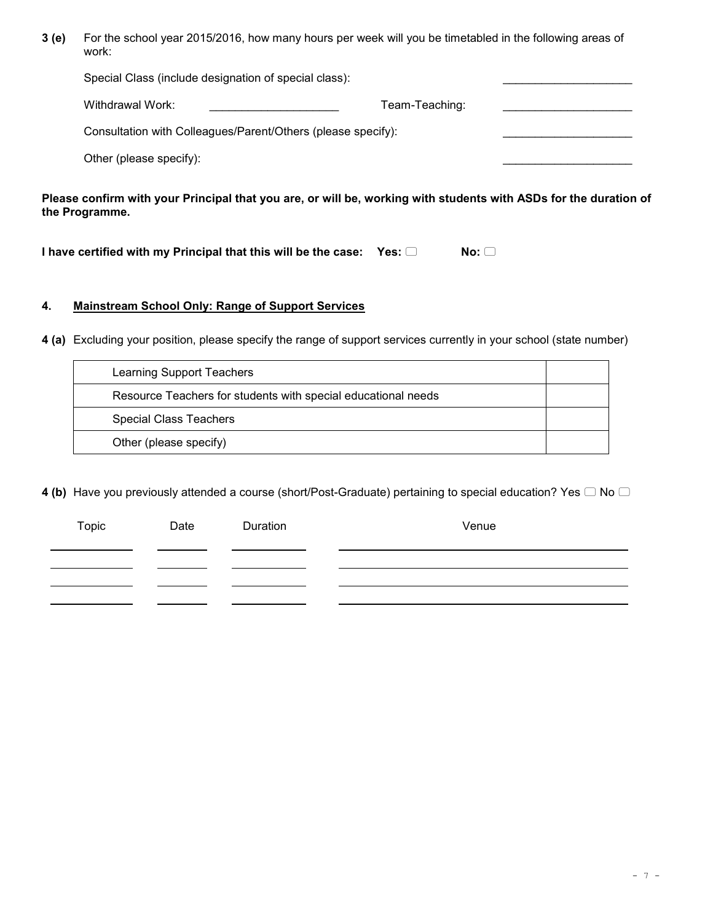**3 (e)** For the school year 2015/2016, how many hours per week will you be timetabled in the following areas of work:

| Special Class (include designation of special class):        |                |  |
|--------------------------------------------------------------|----------------|--|
| Withdrawal Work:                                             | Team-Teaching: |  |
| Consultation with Colleagues/Parent/Others (please specify): |                |  |
| Other (please specify):                                      |                |  |

**Please confirm with your Principal that you are, or will be, working with students with ASDs for the duration of the Programme.** 

**I have certified with my Principal that this will be the case: Yes: □ No: □** 

### **4. Mainstream School Only: Range of Support Services**

**4 (a)** Excluding your position, please specify the range of support services currently in your school (state number)

| Learning Support Teachers                                     |  |
|---------------------------------------------------------------|--|
| Resource Teachers for students with special educational needs |  |
| <b>Special Class Teachers</b>                                 |  |
| Other (please specify)                                        |  |

**4 (b)** Have you previously attended a course (short/Post-Graduate) pertaining to special education? Yes  $\Box$  No  $\Box$ 

| Topic | Date | Duration | Venue |
|-------|------|----------|-------|
|       |      |          |       |
|       |      |          |       |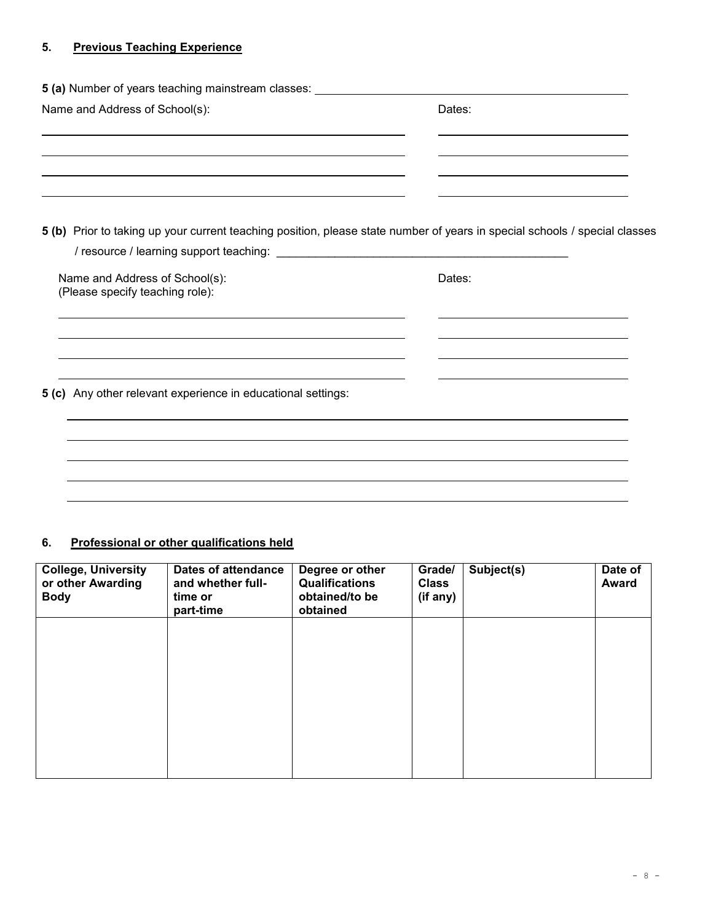# **5. Previous Teaching Experience**

| 5 (a) Number of years teaching mainstream classes: _____________________________                                                                                                                                              |                                                                                           |
|-------------------------------------------------------------------------------------------------------------------------------------------------------------------------------------------------------------------------------|-------------------------------------------------------------------------------------------|
| Name and Address of School(s):                                                                                                                                                                                                | Dates:                                                                                    |
| the control of the control of the control of the control of the control of the control of the control of the control of the control of the control of the control of the control of the control of the control of the control |                                                                                           |
| 5 (b) Prior to taking up your current teaching position, please state number of years in special schools / special classes                                                                                                    |                                                                                           |
| Name and Address of School(s):<br>(Please specify teaching role):                                                                                                                                                             | Dates:                                                                                    |
|                                                                                                                                                                                                                               | the control of the control of the control of the control of the control of the control of |
| 5 (c) Any other relevant experience in educational settings:                                                                                                                                                                  |                                                                                           |
|                                                                                                                                                                                                                               |                                                                                           |
|                                                                                                                                                                                                                               |                                                                                           |

# **6. Professional or other qualifications held**

| <b>College, University</b><br>or other Awarding<br><b>Body</b> | <b>Dates of attendance</b><br>and whether full-<br>time or<br>part-time | Degree or other<br><b>Qualifications</b><br>obtained/to be<br>obtained | Grade/<br><b>Class</b><br>(if any) | Subject(s) | Date of<br><b>Award</b> |
|----------------------------------------------------------------|-------------------------------------------------------------------------|------------------------------------------------------------------------|------------------------------------|------------|-------------------------|
|                                                                |                                                                         |                                                                        |                                    |            |                         |
|                                                                |                                                                         |                                                                        |                                    |            |                         |
|                                                                |                                                                         |                                                                        |                                    |            |                         |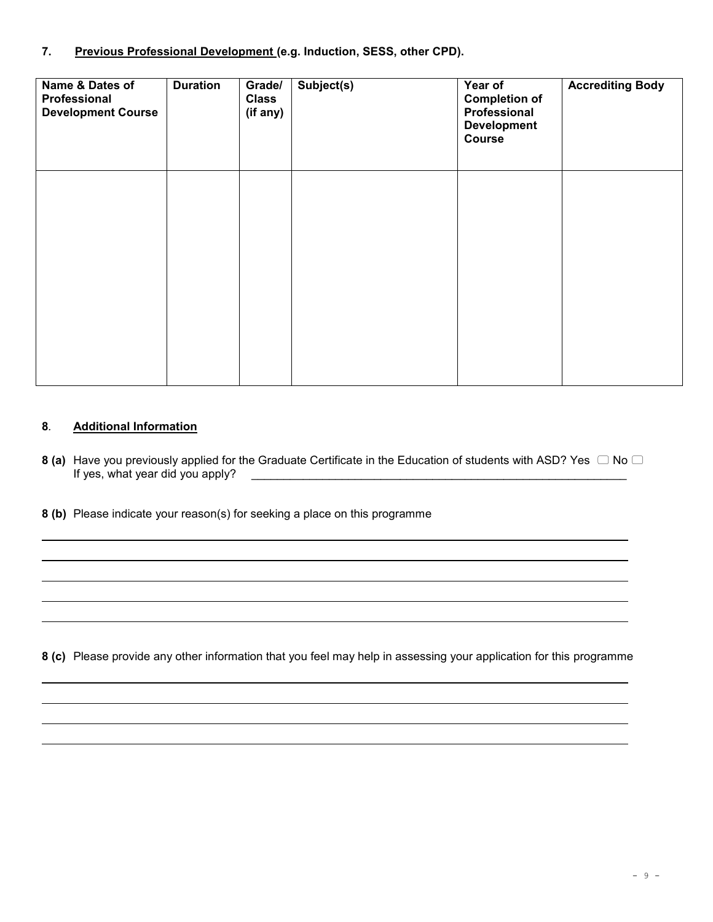## **7. Previous Professional Development (e.g. Induction, SESS, other CPD).**

| Name & Dates of<br>Professional<br><b>Development Course</b> | <b>Duration</b> | Grade/<br><b>Class</b><br>(if any) | Subject(s) | Year of<br><b>Completion of</b><br>Professional<br><b>Development</b><br>Course | <b>Accrediting Body</b> |
|--------------------------------------------------------------|-----------------|------------------------------------|------------|---------------------------------------------------------------------------------|-------------------------|
|                                                              |                 |                                    |            |                                                                                 |                         |
|                                                              |                 |                                    |            |                                                                                 |                         |

### **8***.* **Additional Information**

- **8 (a)** Have you previously applied for the Graduate Certificate in the Education of students with ASD? Yes  $\Box$  No  $\Box$ If yes, what year did you apply? \_\_\_\_\_\_\_\_\_\_\_\_\_\_\_\_\_\_\_\_\_\_\_\_\_\_\_\_\_\_\_\_\_\_\_\_\_\_\_\_\_\_\_\_\_\_\_\_\_\_\_\_\_\_\_\_\_\_
- **8 (b)** Please indicate your reason(s) for seeking a place on this programme

**8 (c)** Please provide any other information that you feel may help in assessing your application for this programme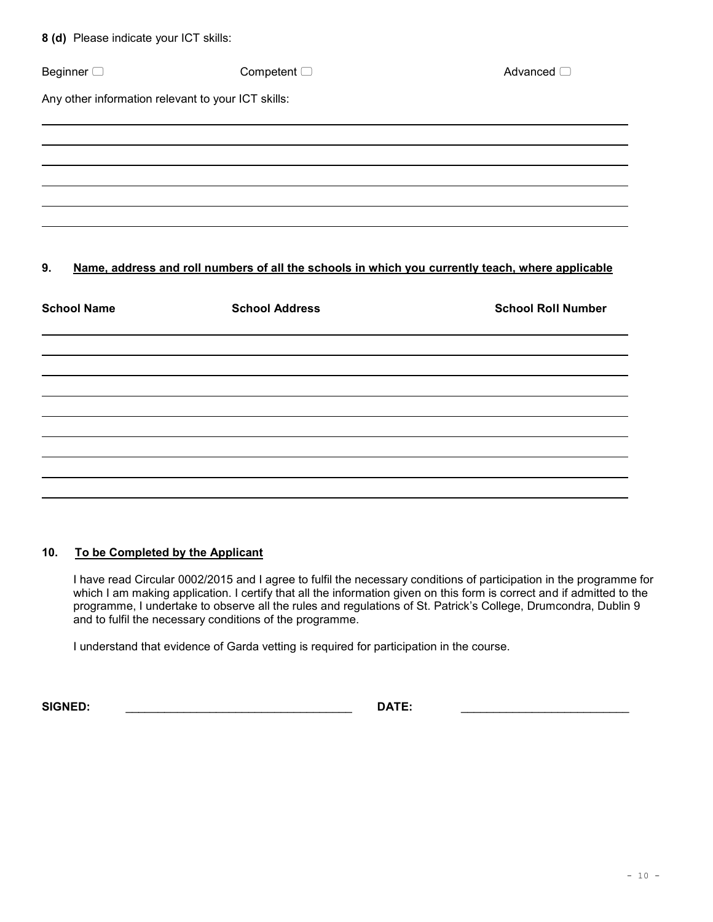| 8 (d) Please indicate your ICT skills:             |                                                                                                  |                           |
|----------------------------------------------------|--------------------------------------------------------------------------------------------------|---------------------------|
| Beginner <sup>1</sup>                              | Competent $\Box$                                                                                 | Advanced <sup>1</sup>     |
| Any other information relevant to your ICT skills: |                                                                                                  |                           |
|                                                    |                                                                                                  |                           |
|                                                    |                                                                                                  |                           |
|                                                    |                                                                                                  |                           |
| 9.                                                 | Name, address and roll numbers of all the schools in which you currently teach, where applicable |                           |
| <b>School Name</b>                                 | <b>School Address</b>                                                                            | <b>School Roll Number</b> |
|                                                    |                                                                                                  |                           |
|                                                    |                                                                                                  |                           |
|                                                    |                                                                                                  |                           |
|                                                    |                                                                                                  |                           |

# **10. To be Completed by the Applicant**

I have read Circular 0002/2015 and I agree to fulfil the necessary conditions of participation in the programme for which I am making application. I certify that all the information given on this form is correct and if admitted to the programme, I undertake to observe all the rules and regulations of St. Patrick's College, Drumcondra, Dublin 9 and to fulfil the necessary conditions of the programme.

I understand that evidence of Garda vetting is required for participation in the course.

**SIGNED:** \_\_\_\_\_\_\_\_\_\_\_\_\_\_\_\_\_\_\_\_\_\_\_\_\_\_\_\_\_\_\_\_\_\_\_ **DATE:** \_\_\_\_\_\_\_\_\_\_\_\_\_\_\_\_\_\_\_\_\_\_\_\_\_\_